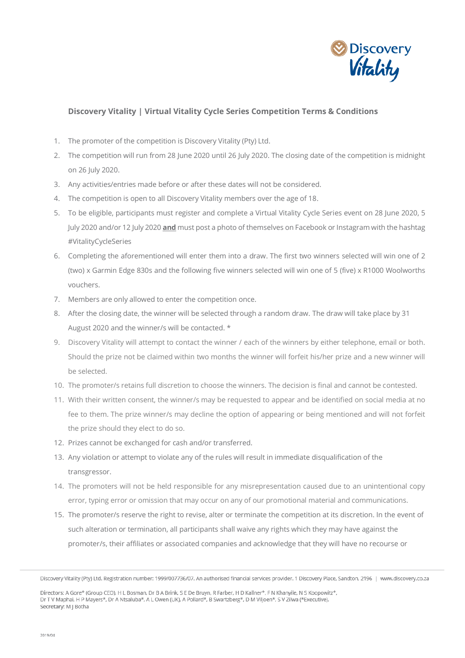

## **Discovery Vitality | Virtual Vitality Cycle Series Competition Terms & Conditions**

- 1. The promoter of the competition is Discovery Vitality (Pty) Ltd.
- 2. The competition will run from 28 June 2020 until 26 July 2020. The closing date of the competition is midnight on 26 July 2020.
- 3. Any activities/entries made before or after these dates will not be considered.
- 4. The competition is open to all Discovery Vitality members over the age of 18.
- 5. To be eligible, participants must register and complete a Virtual Vitality Cycle Series event on 28 June 2020, 5 July 2020 and/or 12 July 2020 **and** must post a photo of themselves on Facebook or Instagram with the hashtag #VitalityCycleSeries
- 6. Completing the aforementioned will enter them into a draw. The first two winners selected will win one of 2 (two) x Garmin Edge 830s and the following five winners selected will win one of 5 (five) x R1000 Woolworths vouchers.
- 7. Members are only allowed to enter the competition once.
- 8. After the closing date, the winner will be selected through a random draw. The draw will take place by 31 August 2020 and the winner/s will be contacted. \*
- 9. Discovery Vitality will attempt to contact the winner / each of the winners by either telephone, email or both. Should the prize not be claimed within two months the winner will forfeit his/her prize and a new winner will be selected.
- 10. The promoter/s retains full discretion to choose the winners. The decision is final and cannot be contested.
- 11. With their written consent, the winner/s may be requested to appear and be identified on social media at no fee to them. The prize winner/s may decline the option of appearing or being mentioned and will not forfeit the prize should they elect to do so.
- 12. Prizes cannot be exchanged for cash and/or transferred.
- 13. Any violation or attempt to violate any of the rules will result in immediate disqualification of the transgressor.
- 14. The promoters will not be held responsible for any misrepresentation caused due to an unintentional copy error, typing error or omission that may occur on any of our promotional material and communications.
- 15. The promoter/s reserve the right to revise, alter or terminate the competition at its discretion. In the event of such alteration or termination, all participants shall waive any rights which they may have against the promoter/s, their affiliates or associated companies and acknowledge that they will have no recourse or

Discovery Vitality (Pty) Ltd. Registration number: 1999/007736/07. An authorised financial services provider. 1 Discovery Place, Sandton, 2196 | www.discovery.co.za

Directors: A Gore\* (Group CEO), H L Bosman, Dr B A Brink, S E De Bruyn, R Farber, H D Kallner\*, F N Khanyile, N S Koopowitz\*, Dr T V Maphai, H P Mayers\*, Dr A Ntsaluba\*, A L Owen (UK), A Pollard\*, B Swartzberg\*, D M Viljoen\*, S V Zilwa (\*Executive). Secretary: M J Botha